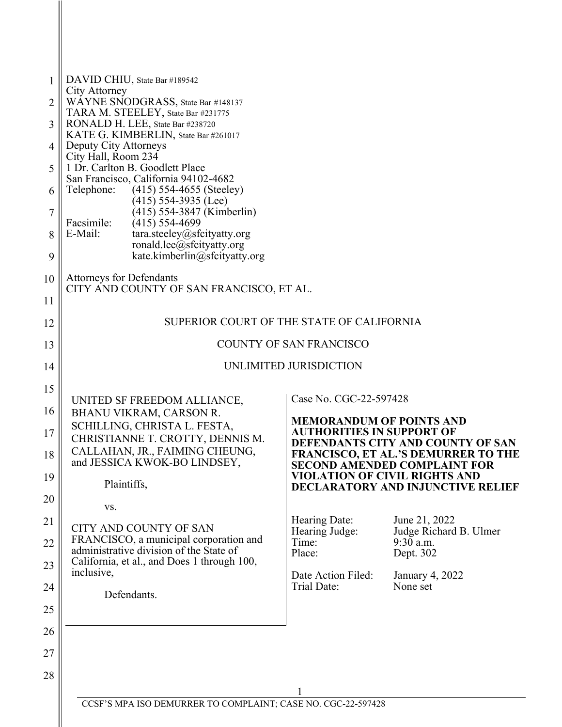| $\mathbf{1}$   | DAVID CHIU, State Bar #189542                                                     |                                                                     |                                                                                 |
|----------------|-----------------------------------------------------------------------------------|---------------------------------------------------------------------|---------------------------------------------------------------------------------|
| $\overline{2}$ | City Attorney<br>WAYNE SNODGRASS, State Bar #148137                               |                                                                     |                                                                                 |
| 3              | TARA M. STEELEY, State Bar #231775<br>RONALD H. LEE, State Bar #238720            |                                                                     |                                                                                 |
| 4              | KATE G. KIMBERLIN, State Bar #261017<br>Deputy City Attorneys                     |                                                                     |                                                                                 |
|                | City Hall, Room 234                                                               |                                                                     |                                                                                 |
| 5              | 1 Dr. Carlton B. Goodlett Place<br>San Francisco, California 94102-4682           |                                                                     |                                                                                 |
| 6              | Telephone:<br>$(415)$ 554-4655 (Steeley)<br>$(415)$ 554-3935 (Lee)                |                                                                     |                                                                                 |
| 7              | (415) 554-3847 (Kimberlin)                                                        |                                                                     |                                                                                 |
| 8              | Facsimile:<br>$(415)$ 554-4699<br>E-Mail:<br>tara.steeley@sfcityatty.org          |                                                                     |                                                                                 |
| 9              | ronald.lee@sfcityatty.org<br>kate.kimberlin@sfcityatty.org                        |                                                                     |                                                                                 |
|                |                                                                                   |                                                                     |                                                                                 |
| 10             | <b>Attorneys for Defendants</b><br>CITY AND COUNTY OF SAN FRANCISCO, ET AL.       |                                                                     |                                                                                 |
| 11             |                                                                                   |                                                                     |                                                                                 |
| 12             | SUPERIOR COURT OF THE STATE OF CALIFORNIA                                         |                                                                     |                                                                                 |
| 13             | COUNTY OF SAN FRANCISCO                                                           |                                                                     |                                                                                 |
| 14             |                                                                                   | UNLIMITED JURISDICTION                                              |                                                                                 |
| 15             |                                                                                   | Case No. CGC-22-597428                                              |                                                                                 |
| 16             | UNITED SF FREEDOM ALLIANCE,<br>BHANU VIKRAM, CARSON R.                            |                                                                     |                                                                                 |
| 17             | SCHILLING, CHRISTA L. FESTA,<br>CHRISTIANNE T. CROTTY, DENNIS M.                  | <b>MEMORANDUM OF POINTS AND</b><br><b>AUTHORITIES IN SUPPORT OF</b> |                                                                                 |
| 18             | CALLAHAN, JR., FAIMING CHEUNG.                                                    |                                                                     | DEFENDANTS CITY AND COUNTY OF SAN<br><b>FRANCISCO, ET AL.'S DEMURRER TO THE</b> |
|                | and JESSICA KWOK-BO LINDSEY,                                                      | <b>VIOLATION OF CIVIL RIGHTS AND</b>                                | <b>SECOND AMENDED COMPLAINT FOR</b>                                             |
| 19             | Plaintiffs,                                                                       |                                                                     | <b>DECLARATORY AND INJUNCTIVE RELIEF</b>                                        |
| 20             | VS.                                                                               |                                                                     |                                                                                 |
| 21             | CITY AND COUNTY OF SAN                                                            | Hearing Date:<br>Hearing Judge:                                     | June 21, 2022<br>Judge Richard B. Ulmer                                         |
| 22             | FRANCISCO, a municipal corporation and<br>administrative division of the State of | Time:                                                               | $9:30$ a.m.                                                                     |
| 23             | California, et al., and Does 1 through 100,                                       | Place:                                                              | Dept. 302                                                                       |
| 24             | inclusive,                                                                        | Date Action Filed:<br>Trial Date:                                   | January 4, 2022<br>None set                                                     |
|                | Defendants.                                                                       |                                                                     |                                                                                 |
| 25             |                                                                                   |                                                                     |                                                                                 |
| 26             |                                                                                   |                                                                     |                                                                                 |
| 27             |                                                                                   |                                                                     |                                                                                 |
| 28             |                                                                                   |                                                                     |                                                                                 |
|                | CCSF'S MPA ISO DEMURRER TO COMPLAINT; CASE NO. CGC-22-597428                      |                                                                     |                                                                                 |
|                |                                                                                   |                                                                     |                                                                                 |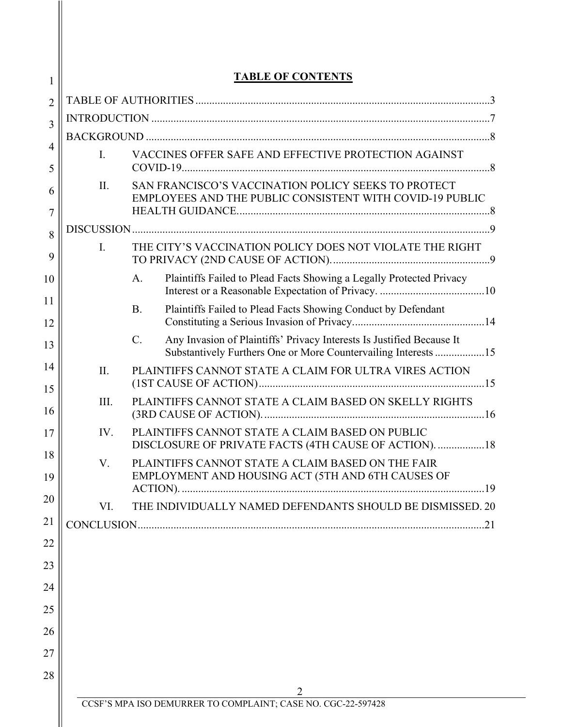| <b>TABLE OF CONTENTS</b> |                                                                                                                                                        |  |
|--------------------------|--------------------------------------------------------------------------------------------------------------------------------------------------------|--|
|                          |                                                                                                                                                        |  |
|                          |                                                                                                                                                        |  |
|                          |                                                                                                                                                        |  |
| $\mathbf{I}$ .           | VACCINES OFFER SAFE AND EFFECTIVE PROTECTION AGAINST                                                                                                   |  |
| II.                      | SAN FRANCISCO'S VACCINATION POLICY SEEKS TO PROTECT<br>EMPLOYEES AND THE PUBLIC CONSISTENT WITH COVID-19 PUBLIC                                        |  |
|                          |                                                                                                                                                        |  |
| $\mathbf{I}$ .           | THE CITY'S VACCINATION POLICY DOES NOT VIOLATE THE RIGHT                                                                                               |  |
|                          | Plaintiffs Failed to Plead Facts Showing a Legally Protected Privacy<br>A.                                                                             |  |
|                          | Plaintiffs Failed to Plead Facts Showing Conduct by Defendant<br><b>B.</b>                                                                             |  |
|                          | Any Invasion of Plaintiffs' Privacy Interests Is Justified Because It<br>$C_{\cdot}$<br>Substantively Furthers One or More Countervailing Interests 15 |  |
| II.                      | PLAINTIFFS CANNOT STATE A CLAIM FOR ULTRA VIRES ACTION                                                                                                 |  |
| III.                     | PLAINTIFFS CANNOT STATE A CLAIM BASED ON SKELLY RIGHTS                                                                                                 |  |
| IV.                      | PLAINTIFFS CANNOT STATE A CLAIM BASED ON PUBLIC<br>DISCLOSURE OF PRIVATE FACTS (4TH CAUSE OF ACTION). 18                                               |  |
| V.                       | PLAINTIFFS CANNOT STATE A CLAIM BASED ON THE FAIR<br>EMPLOYMENT AND HOUSING ACT (5TH AND 6TH CAUSES OF                                                 |  |
|                          |                                                                                                                                                        |  |
| VI.                      | THE INDIVIDUALLY NAMED DEFENDANTS SHOULD BE DISMISSED. 20                                                                                              |  |
|                          |                                                                                                                                                        |  |
|                          |                                                                                                                                                        |  |
|                          |                                                                                                                                                        |  |
|                          |                                                                                                                                                        |  |
|                          |                                                                                                                                                        |  |
|                          |                                                                                                                                                        |  |
|                          |                                                                                                                                                        |  |
|                          | CCSF'S MPA ISO DEMURRER TO COMPLAINT; CASE NO. CGC-22-597428                                                                                           |  |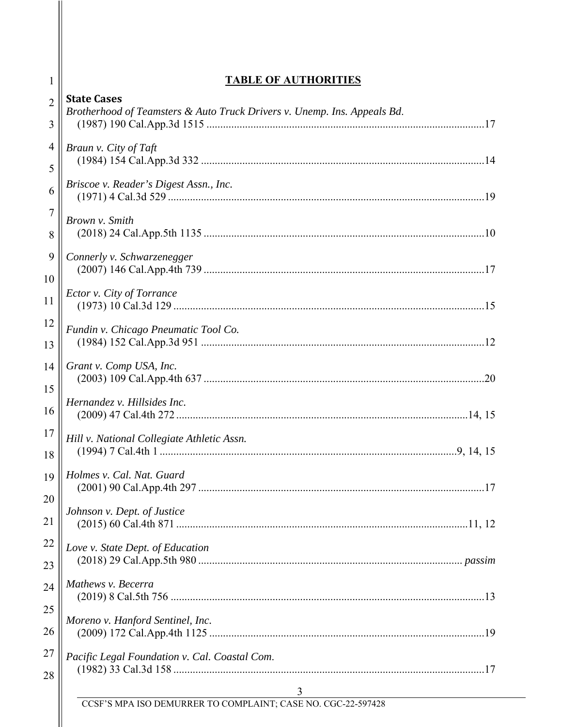| $\mathbf{I}$   | <b>TABLE OF AUTHORITIES</b>                                                                    |
|----------------|------------------------------------------------------------------------------------------------|
| $\overline{2}$ | <b>State Cases</b><br>Brotherhood of Teamsters & Auto Truck Drivers v. Unemp. Ins. Appeals Bd. |
| 3              |                                                                                                |
| 4              | Braun v. City of Taft                                                                          |
| 5              | Briscoe v. Reader's Digest Assn., Inc.                                                         |
| 6              |                                                                                                |
| $\tau$<br>8    | Brown v. Smith                                                                                 |
| 9<br>10        | Connerly v. Schwarzenegger                                                                     |
| 11             | Ector v. City of Torrance                                                                      |
| 12<br>13       | Fundin v. Chicago Pneumatic Tool Co.                                                           |
| 14<br>15       | Grant v. Comp USA, Inc.                                                                        |
| 16             | Hernandez v. Hillsides Inc.                                                                    |
| 17<br>18       | Hill v. National Collegiate Athletic Assn.                                                     |
| 19<br>20       | Holmes v. Cal. Nat. Guard                                                                      |
| 21             | Johnson v. Dept. of Justice                                                                    |
| 22<br>23       | Love v. State Dept. of Education                                                               |
| 24             | Mathews v. Becerra                                                                             |
| 25<br>26       | Moreno v. Hanford Sentinel, Inc.                                                               |
| 27<br>28       | Pacific Legal Foundation v. Cal. Coastal Com.                                                  |
|                | $\overline{\mathbf{3}}$                                                                        |

CCSF'S MPA ISO DEMURRER TO COMPLAINT; CASE NO. CGC-22-597428

 $\parallel$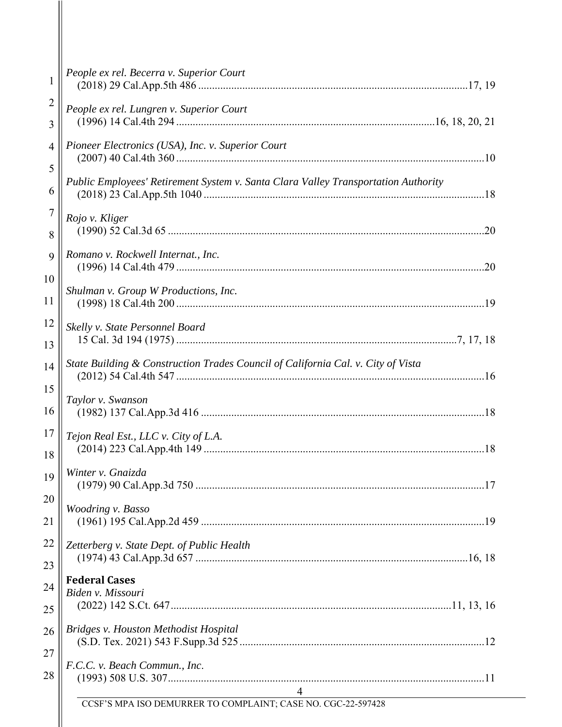| 1              | People ex rel. Becerra v. Superior Court                                           |
|----------------|------------------------------------------------------------------------------------|
| $\overline{c}$ | People ex rel. Lungren v. Superior Court                                           |
| 3              |                                                                                    |
| 4              | Pioneer Electronics (USA), Inc. v. Superior Court                                  |
| 5              | Public Employees' Retirement System v. Santa Clara Valley Transportation Authority |
| 6              |                                                                                    |
| 7              | Rojo v. Kliger                                                                     |
| 8              |                                                                                    |
| 9              | Romano v. Rockwell Internat., Inc.                                                 |
| 10             |                                                                                    |
| 11             | Shulman v. Group W Productions, Inc.                                               |
| 12             | Skelly v. State Personnel Board                                                    |
| 13             |                                                                                    |
| 14             | State Building & Construction Trades Council of California Cal. v. City of Vista   |
| 15             | Taylor v. Swanson                                                                  |
| 16             |                                                                                    |
| 17             | Tejon Real Est., LLC v. City of L.A.                                               |
| 18             |                                                                                    |
| 19             | Winter v. Gnaizda                                                                  |
| 20             | Woodring v. Basso                                                                  |
| 21             |                                                                                    |
| 22             | Zetterberg v. State Dept. of Public Health                                         |
| 23             |                                                                                    |
| 24             | <b>Federal Cases</b><br>Biden v. Missouri                                          |
| 25             |                                                                                    |
| 26             | Bridges v. Houston Methodist Hospital                                              |
| 27<br>28       | F.C.C. v. Beach Commun., Inc.                                                      |
|                | 4                                                                                  |
|                | CCSF'S MPA ISO DEMURRER TO COMPLAINT; CASE NO. CGC-22-597428                       |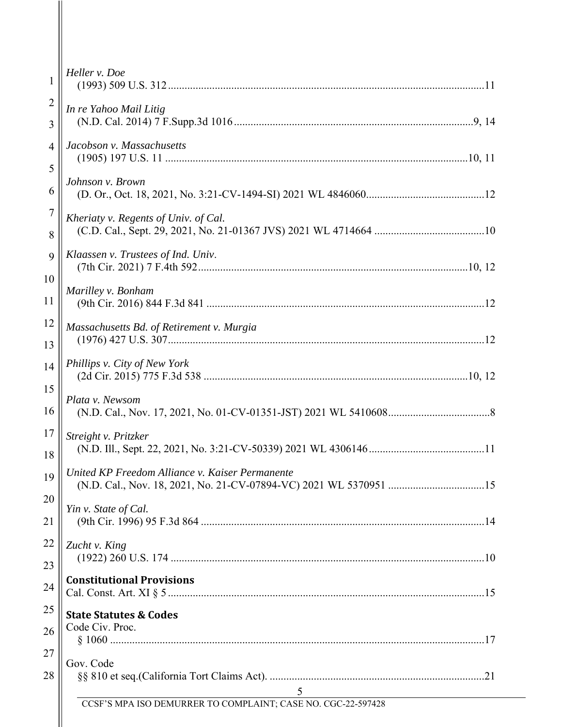| 1              | Heller v. Doe                                                                                                                                                                             |
|----------------|-------------------------------------------------------------------------------------------------------------------------------------------------------------------------------------------|
| $\overline{2}$ | In re Yahoo Mail Litig                                                                                                                                                                    |
| 3              |                                                                                                                                                                                           |
| $\overline{4}$ | Jacobson v. Massachusetts                                                                                                                                                                 |
| 5              | Johnson v. Brown                                                                                                                                                                          |
| 6              |                                                                                                                                                                                           |
| $\tau$         | Kheriaty v. Regents of Univ. of Cal.                                                                                                                                                      |
| 8              |                                                                                                                                                                                           |
| 9              | Klaassen v. Trustees of Ind. Univ.                                                                                                                                                        |
| 10             | Marilley v. Bonham                                                                                                                                                                        |
| 11             |                                                                                                                                                                                           |
| 12             | Massachusetts Bd. of Retirement v. Murgia                                                                                                                                                 |
| 13             |                                                                                                                                                                                           |
| 14             | Phillips v. City of New York                                                                                                                                                              |
| 15             | Plata v. Newsom                                                                                                                                                                           |
| 16             |                                                                                                                                                                                           |
| 17             | Streight v. Pritzker                                                                                                                                                                      |
| 18             |                                                                                                                                                                                           |
| 19             | United KP Freedom Alliance v. Kaiser Permanente                                                                                                                                           |
| 20             | Yin v. State of Cal.                                                                                                                                                                      |
| 21             |                                                                                                                                                                                           |
| 22             | Zucht v. King                                                                                                                                                                             |
| 23             |                                                                                                                                                                                           |
| 24             | <b>Constitutional Provisions</b>                                                                                                                                                          |
| 25             | <b>State Statutes &amp; Codes</b>                                                                                                                                                         |
| 26             | Code Civ. Proc.                                                                                                                                                                           |
| 27             | Gov. Code                                                                                                                                                                                 |
| 28             | 5<br><u> 1989 - Johann Barbara, martin amerikan basar dan basa dan basar dalam basa dalam basa dalam basa dalam basa </u><br>CCSF'S MPA ISO DEMURRER TO COMPLAINT; CASE NO. CGC-22-597428 |

 $\mathbf \mathsf I$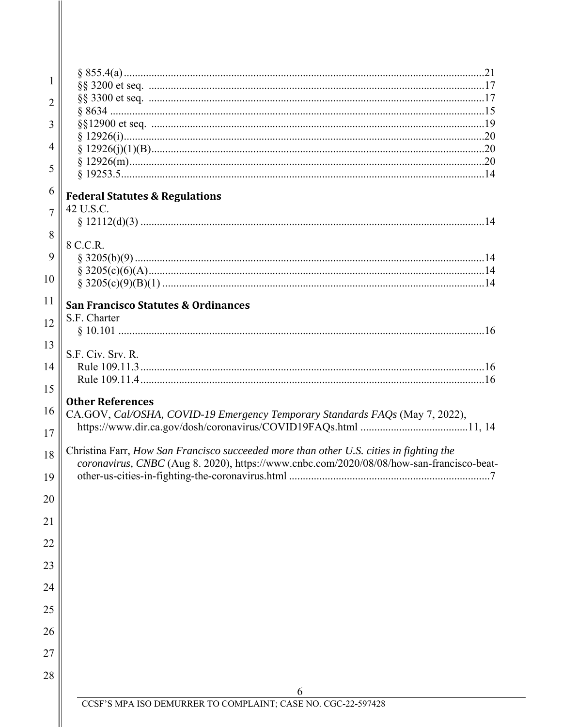| 1              |                                                                                                                                                                                     |
|----------------|-------------------------------------------------------------------------------------------------------------------------------------------------------------------------------------|
|                |                                                                                                                                                                                     |
| $\overline{2}$ |                                                                                                                                                                                     |
| 3              |                                                                                                                                                                                     |
| 4              |                                                                                                                                                                                     |
|                |                                                                                                                                                                                     |
| 5              |                                                                                                                                                                                     |
| 6              | <b>Federal Statutes &amp; Regulations</b>                                                                                                                                           |
| $\overline{7}$ | 42 U.S.C.                                                                                                                                                                           |
| 8              | 8 C.C.R.                                                                                                                                                                            |
| 9              |                                                                                                                                                                                     |
| 10             |                                                                                                                                                                                     |
| 11             | <b>San Francisco Statutes &amp; Ordinances</b>                                                                                                                                      |
| 12             | S.F. Charter                                                                                                                                                                        |
| 13             |                                                                                                                                                                                     |
| 14             | S.F. Civ. Srv. R.                                                                                                                                                                   |
| 15             |                                                                                                                                                                                     |
|                | <b>Other References</b>                                                                                                                                                             |
| 16             | CA.GOV, Cal/OSHA, COVID-19 Emergency Temporary Standards FAQs (May 7, 2022),                                                                                                        |
| 17             |                                                                                                                                                                                     |
| 18             | Christina Farr, How San Francisco succeeded more than other U.S. cities in fighting the<br>coronavirus, CNBC (Aug 8. 2020), https://www.cnbc.com/2020/08/08/how-san-francisco-beat- |
| 19             |                                                                                                                                                                                     |
| 20             |                                                                                                                                                                                     |
| 21             |                                                                                                                                                                                     |
| 22             |                                                                                                                                                                                     |
| 23             |                                                                                                                                                                                     |
| 24             |                                                                                                                                                                                     |
| 25             |                                                                                                                                                                                     |
| 26             |                                                                                                                                                                                     |
| 27             |                                                                                                                                                                                     |
| 28             |                                                                                                                                                                                     |
|                | 6<br>CCSF'S MPA ISO DEMURRER TO COMPLAINT; CASE NO. CGC-22-597428                                                                                                                   |
|                |                                                                                                                                                                                     |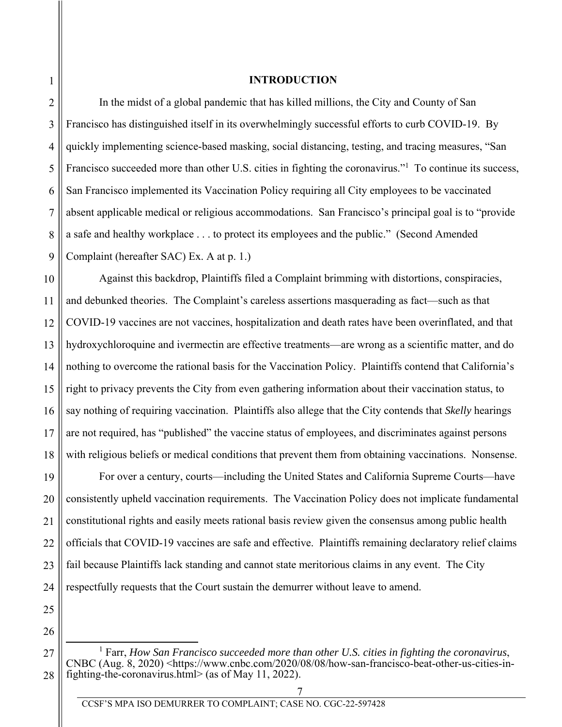1

2

3

4

5

6

7

8

9

11

12

17

20

21

23

#### **INTRODUCTION**

In the midst of a global pandemic that has killed millions, the City and County of San Francisco has distinguished itself in its overwhelmingly successful efforts to curb COVID-19. By quickly implementing science-based masking, social distancing, testing, and tracing measures, "San Francisco succeeded more than other U.S. cities in fighting the coronavirus."<sup>1</sup> To continue its success, San Francisco implemented its Vaccination Policy requiring all City employees to be vaccinated absent applicable medical or religious accommodations. San Francisco's principal goal is to "provide a safe and healthy workplace . . . to protect its employees and the public." (Second Amended Complaint (hereafter SAC) Ex. A at p. 1.)

10 13 14 15 16 18 Against this backdrop, Plaintiffs filed a Complaint brimming with distortions, conspiracies, and debunked theories. The Complaint's careless assertions masquerading as fact—such as that COVID-19 vaccines are not vaccines, hospitalization and death rates have been overinflated, and that hydroxychloroquine and ivermectin are effective treatments—are wrong as a scientific matter, and do nothing to overcome the rational basis for the Vaccination Policy. Plaintiffs contend that California's right to privacy prevents the City from even gathering information about their vaccination status, to say nothing of requiring vaccination. Plaintiffs also allege that the City contends that *Skelly* hearings are not required, has "published" the vaccine status of employees, and discriminates against persons with religious beliefs or medical conditions that prevent them from obtaining vaccinations. Nonsense.

19 22 24 For over a century, courts—including the United States and California Supreme Courts—have consistently upheld vaccination requirements. The Vaccination Policy does not implicate fundamental constitutional rights and easily meets rational basis review given the consensus among public health officials that COVID-19 vaccines are safe and effective. Plaintiffs remaining declaratory relief claims fail because Plaintiffs lack standing and cannot state meritorious claims in any event. The City respectfully requests that the Court sustain the demurrer without leave to amend.

26

<sup>27</sup>  28 <u>1</u> Farr, *How San Francisco succeeded more than other U.S. cities in fighting the coronavirus*, CNBC (Aug. 8, 2020) <https://www.cnbc.com/2020/08/08/how-san-francisco-beat-other-us-cities-infighting-the-coronavirus.html> (as of May 11, 2022).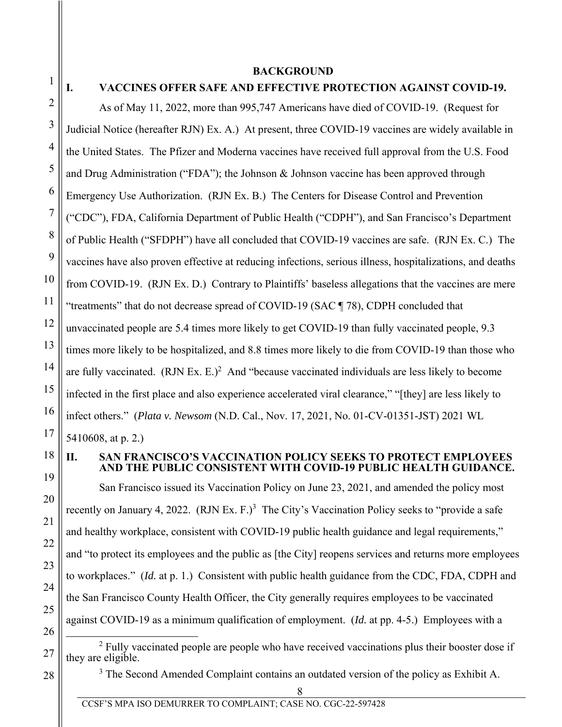3

4

5

6

7

8

9

10

11

12

13

14

15

16

17

#### **BACKGROUND**

# **I. VACCINES OFFER SAFE AND EFFECTIVE PROTECTION AGAINST COVID-19.**

As of May 11, 2022, more than 995,747 Americans have died of COVID-19. (Request for Judicial Notice (hereafter RJN) Ex. A.) At present, three COVID-19 vaccines are widely available in the United States. The Pfizer and Moderna vaccines have received full approval from the U.S. Food and Drug Administration ("FDA"); the Johnson & Johnson vaccine has been approved through Emergency Use Authorization. (RJN Ex. B.) The Centers for Disease Control and Prevention ("CDC"), FDA, California Department of Public Health ("CDPH"), and San Francisco's Department of Public Health ("SFDPH") have all concluded that COVID-19 vaccines are safe. (RJN Ex. C.) The vaccines have also proven effective at reducing infections, serious illness, hospitalizations, and deaths from COVID-19. (RJN Ex. D.) Contrary to Plaintiffs' baseless allegations that the vaccines are mere "treatments" that do not decrease spread of COVID-19 (SAC ¶ 78), CDPH concluded that unvaccinated people are 5.4 times more likely to get COVID-19 than fully vaccinated people, 9.3 times more likely to be hospitalized, and 8.8 times more likely to die from COVID-19 than those who are fully vaccinated.  $(RJN Ex. E.)<sup>2</sup>$  And "because vaccinated individuals are less likely to become infected in the first place and also experience accelerated viral clearance," "[they] are less likely to infect others." (*Plata v. Newsom* (N.D. Cal., Nov. 17, 2021, No. 01-CV-01351-JST) 2021 WL 5410608, at p. 2.)

18 19

20

21

22

23

24

25

26

28

#### **II. SAN FRANCISCO'S VACCINATION POLICY SEEKS TO PROTECT EMPLOYEES AND THE PUBLIC CONSISTENT WITH COVID-19 PUBLIC HEALTH GUIDANCE.**

San Francisco issued its Vaccination Policy on June 23, 2021, and amended the policy most recently on January 4, 2022.  $(RJN Ex. F.)<sup>3</sup>$  The City's Vaccination Policy seeks to "provide a safe and healthy workplace, consistent with COVID-19 public health guidance and legal requirements," and "to protect its employees and the public as [the City] reopens services and returns more employees to workplaces." (*Id.* at p. 1.) Consistent with public health guidance from the CDC, FDA, CDPH and the San Francisco County Health Officer, the City generally requires employees to be vaccinated against COVID-19 as a minimum qualification of employment. (*Id.* at pp. 4-5.) Employees with a

27 2  $2$  Fully vaccinated people are people who have received vaccinations plus their booster dose if they are eligible.

 $3$  The Second Amended Complaint contains an outdated version of the policy as Exhibit A.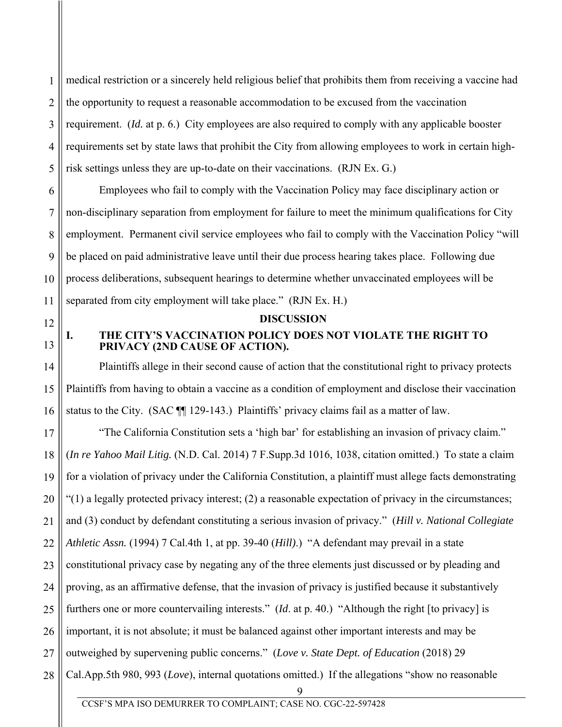1 2 3 4 5 medical restriction or a sincerely held religious belief that prohibits them from receiving a vaccine had the opportunity to request a reasonable accommodation to be excused from the vaccination requirement. (*Id.* at p. 6.) City employees are also required to comply with any applicable booster requirements set by state laws that prohibit the City from allowing employees to work in certain highrisk settings unless they are up-to-date on their vaccinations. (RJN Ex. G.)

Employees who fail to comply with the Vaccination Policy may face disciplinary action or non-disciplinary separation from employment for failure to meet the minimum qualifications for City employment. Permanent civil service employees who fail to comply with the Vaccination Policy "will be placed on paid administrative leave until their due process hearing takes place. Following due process deliberations, subsequent hearings to determine whether unvaccinated employees will be separated from city employment will take place." (RJN Ex. H.)

12

6

7

8

9

10

11

13

14

15

16

#### **DISCUSSION**

## **I. THE CITY'S VACCINATION POLICY DOES NOT VIOLATE THE RIGHT TO PRIVACY (2ND CAUSE OF ACTION).**

Plaintiffs allege in their second cause of action that the constitutional right to privacy protects Plaintiffs from having to obtain a vaccine as a condition of employment and disclose their vaccination status to the City. (SAC ¶¶ 129-143.) Plaintiffs' privacy claims fail as a matter of law.

17 18 19 20 21 22 23 24 25 26 27 28 "The California Constitution sets a 'high bar' for establishing an invasion of privacy claim." (*In re Yahoo Mail Litig.* (N.D. Cal. 2014) 7 F.Supp.3d 1016, 1038, citation omitted.) To state a claim for a violation of privacy under the California Constitution, a plaintiff must allege facts demonstrating "(1) a legally protected privacy interest; (2) a reasonable expectation of privacy in the circumstances; and (3) conduct by defendant constituting a serious invasion of privacy." (*Hill v. National Collegiate Athletic Assn.* (1994) 7 Cal.4th 1, at pp. 39-40 (*Hill)*.) "A defendant may prevail in a state constitutional privacy case by negating any of the three elements just discussed or by pleading and proving, as an affirmative defense, that the invasion of privacy is justified because it substantively furthers one or more countervailing interests." (*Id*. at p. 40.) "Although the right [to privacy] is important, it is not absolute; it must be balanced against other important interests and may be outweighed by supervening public concerns." (*Love v. State Dept. of Education* (2018) 29 Cal.App.5th 980, 993 (*Love*), internal quotations omitted.) If the allegations "show no reasonable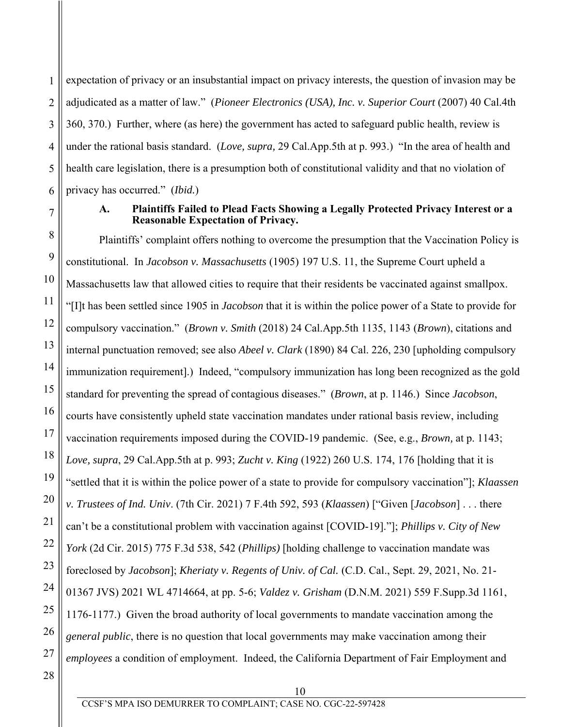1 2 3 4 5 6 expectation of privacy or an insubstantial impact on privacy interests, the question of invasion may be adjudicated as a matter of law." (*Pioneer Electronics (USA), Inc. v. Superior Court* (2007) 40 Cal.4th 360, 370.) Further, where (as here) the government has acted to safeguard public health, review is under the rational basis standard. (*Love, supra,* 29 Cal.App.5th at p. 993.) "In the area of health and health care legislation, there is a presumption both of constitutional validity and that no violation of privacy has occurred." (*Ibid.*)

7

9

10

17

20

21

22

25

#### **A. Plaintiffs Failed to Plead Facts Showing a Legally Protected Privacy Interest or a Reasonable Expectation of Privacy.**

8 11 12 13 14 15 16 18 19 23 24 26 Plaintiffs' complaint offers nothing to overcome the presumption that the Vaccination Policy is constitutional. In *Jacobson v. Massachusetts* (1905) 197 U.S. 11, the Supreme Court upheld a Massachusetts law that allowed cities to require that their residents be vaccinated against smallpox. "[I]t has been settled since 1905 in *Jacobson* that it is within the police power of a State to provide for compulsory vaccination." (*Brown v. Smith* (2018) 24 Cal.App.5th 1135, 1143 (*Brown*), citations and internal punctuation removed; see also *Abeel v. Clark* (1890) 84 Cal. 226, 230 [upholding compulsory immunization requirement].)Indeed, "compulsory immunization has long been recognized as the gold standard for preventing the spread of contagious diseases." (*Brown*, at p. 1146.) Since *Jacobson*, courts have consistently upheld state vaccination mandates under rational basis review, including vaccination requirements imposed during the COVID-19 pandemic. (See, e.g., *Brown,* at p. 1143; *Love, supra*, 29 Cal.App.5th at p. 993; *Zucht v. King* (1922) 260 U.S. 174, 176 [holding that it is "settled that it is within the police power of a state to provide for compulsory vaccination"]; *Klaassen v. Trustees of Ind. Univ*. (7th Cir. 2021) 7 F.4th 592, 593 (*Klaassen*) ["Given [*Jacobson*] . . . there can't be a constitutional problem with vaccination against [COVID-19]."]; *Phillips v. City of New York* (2d Cir. 2015) 775 F.3d 538, 542 (*Phillips)* [holding challenge to vaccination mandate was foreclosed by *Jacobson*]; *Kheriaty v. Regents of Univ. of Cal.* (C.D. Cal., Sept. 29, 2021, No. 21- 01367 JVS) 2021 WL 4714664, at pp. 5-6; *Valdez v. Grisham* (D.N.M. 2021) 559 F.Supp.3d 1161, 1176-1177.) Given the broad authority of local governments to mandate vaccination among the *general public*, there is no question that local governments may make vaccination among their *employees* a condition of employment. Indeed, the California Department of Fair Employment and

28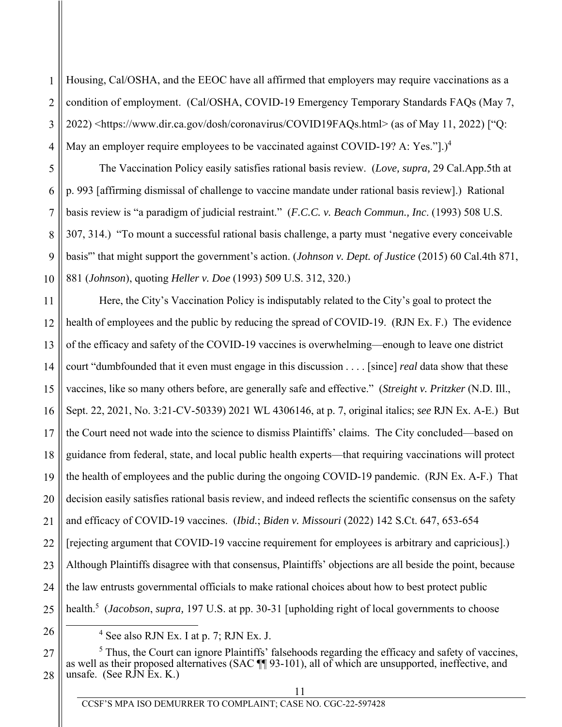1 2 3 4 Housing, Cal/OSHA, and the EEOC have all affirmed that employers may require vaccinations as a condition of employment. (Cal/OSHA, COVID-19 Emergency Temporary Standards FAQs (May 7, 2022) <https://www.dir.ca.gov/dosh/coronavirus/COVID19FAQs.html> (as of May 11, 2022) ["Q: May an employer require employees to be vaccinated against COVID-19? A: Yes."].)<sup>4</sup>

The Vaccination Policy easily satisfies rational basis review. (*Love, supra,* 29 Cal.App.5th at p. 993 [affirming dismissal of challenge to vaccine mandate under rational basis review].) Rational basis review is "a paradigm of judicial restraint." (*F.C.C. v. Beach Commun., Inc*. (1993) 508 U.S. 307, 314.) "To mount a successful rational basis challenge, a party must 'negative every conceivable basis'" that might support the government's action. (*Johnson v. Dept. of Justice* (2015) 60 Cal.4th 871, 881 (*Johnson*), quoting *Heller v. Doe* (1993) 509 U.S. 312, 320.)

11 12 13 14 15 16 17 18 19 20 21 22 23 24 25 Here, the City's Vaccination Policy is indisputably related to the City's goal to protect the health of employees and the public by reducing the spread of COVID-19. (RJN Ex. F.) The evidence of the efficacy and safety of the COVID-19 vaccines is overwhelming—enough to leave one district court "dumbfounded that it even must engage in this discussion . . . . [since] *real* data show that these vaccines, like so many others before, are generally safe and effective." (*Streight v. Pritzker* (N.D. Ill., Sept. 22, 2021, No. 3:21-CV-50339) 2021 WL 4306146, at p. 7, original italics; *see* RJN Ex. A-E.) But the Court need not wade into the science to dismiss Plaintiffs' claims. The City concluded—based on guidance from federal, state, and local public health experts—that requiring vaccinations will protect the health of employees and the public during the ongoing COVID-19 pandemic. (RJN Ex. A-F.) That decision easily satisfies rational basis review, and indeed reflects the scientific consensus on the safety and efficacy of COVID-19 vaccines. (*Ibid.*; *Biden v. Missouri* (2022) 142 S.Ct. 647, 653-654 [rejecting argument that COVID-19 vaccine requirement for employees is arbitrary and capricious].) Although Plaintiffs disagree with that consensus, Plaintiffs' objections are all beside the point, because the law entrusts governmental officials to make rational choices about how to best protect public health.5 (*Jacobson*, *supra,* 197 U.S. at pp. 30-31 [upholding right of local governments to choose

26

5

6

7

8

9

10

27 28  $<sup>5</sup>$  Thus, the Court can ignore Plaintiffs' falsehoods regarding the efficacy and safety of vaccines,</sup> as well as their proposed alternatives (SAC ¶¶ 93-101), all of which are unsupported, ineffective, and unsafe. (See RJN Ex. K.)

 $\overline{4}$  $<sup>4</sup>$  See also RJN Ex. I at p. 7; RJN Ex. J.</sup>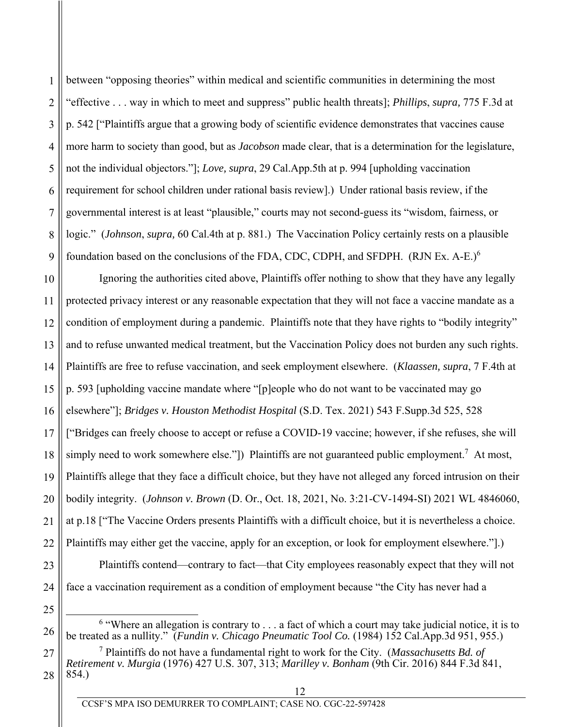between "opposing theories" within medical and scientific communities in determining the most "effective . . . way in which to meet and suppress" public health threats]; *Phillips*, *supra,* 775 F.3d at p. 542 ["Plaintiffs argue that a growing body of scientific evidence demonstrates that vaccines cause more harm to society than good, but as *Jacobson* made clear, that is a determination for the legislature, not the individual objectors."]; *Love, supra*, 29 Cal.App.5th at p. 994 [upholding vaccination requirement for school children under rational basis review].) Under rational basis review, if the governmental interest is at least "plausible," courts may not second-guess its "wisdom, fairness, or logic." (*Johnson*, *supra,* 60 Cal.4th at p. 881.) The Vaccination Policy certainly rests on a plausible foundation based on the conclusions of the FDA, CDC, CDPH, and SFDPH.  $(RJN Ex. A-E)^6$ 

10 11 12 13 14 15 16 17 18 19 20 21 Ignoring the authorities cited above, Plaintiffs offer nothing to show that they have any legally protected privacy interest or any reasonable expectation that they will not face a vaccine mandate as a condition of employment during a pandemic. Plaintiffs note that they have rights to "bodily integrity" and to refuse unwanted medical treatment, but the Vaccination Policy does not burden any such rights. Plaintiffs are free to refuse vaccination, and seek employment elsewhere. (*Klaassen, supra*, 7 F.4th at p. 593 [upholding vaccine mandate where "[p]eople who do not want to be vaccinated may go elsewhere"]; *Bridges v. Houston Methodist Hospital* (S.D. Tex. 2021) 543 F.Supp.3d 525, 528 ["Bridges can freely choose to accept or refuse a COVID-19 vaccine; however, if she refuses, she will simply need to work somewhere else."]) Plaintiffs are not guaranteed public employment.<sup>7</sup> At most, Plaintiffs allege that they face a difficult choice, but they have not alleged any forced intrusion on their bodily integrity. (*Johnson v. Brown* (D. Or., Oct. 18, 2021, No. 3:21-CV-1494-SI) 2021 WL 4846060, at p.18 ["The Vaccine Orders presents Plaintiffs with a difficult choice, but it is nevertheless a choice. Plaintiffs may either get the vaccine, apply for an exception, or look for employment elsewhere."].)

26

1

2

3

4

5

6

7

8

9

 $\begin{array}{c|c}\n\hline\n\end{array}$  $6$  "Where an allegation is contrary to  $\dots$  a fact of which a court may take judicial notice, it is to be treated as a nullity." (*Fundin v. Chicago Pneumatic Tool Co.* (1984) 152 Cal.App.3d 951, 955.)

Plaintiffs contend—contrary to fact—that City employees reasonably expect that they will not

27 28 7 Plaintiffs do not have a fundamental right to work for the City. (*Massachusetts Bd. of Retirement v. Murgia* (1976) 427 U.S. 307, 313; *Marilley v. Bonham* (9th Cir. 2016) 844 F.3d 841, 854.)

face a vaccination requirement as a condition of employment because "the City has never had a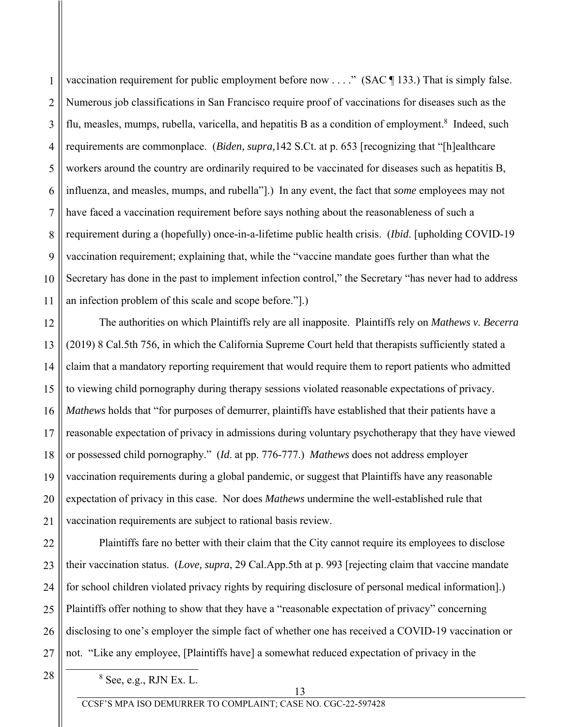2 3 4 5 6 7 8 9 10 11 vaccination requirement for public employment before now  $\dots$ ." (SAC ¶ 133.) That is simply false. Numerous job classifications in San Francisco require proof of vaccinations for diseases such as the flu, measles, mumps, rubella, varicella, and hepatitis B as a condition of employment.<sup>8</sup> Indeed, such requirements are commonplace. (*Biden, supra,*142 S.Ct. at p. 653 [recognizing that "[h]ealthcare workers around the country are ordinarily required to be vaccinated for diseases such as hepatitis B, influenza, and measles, mumps, and rubella"].) In any event, the fact that *some* employees may not have faced a vaccination requirement before says nothing about the reasonableness of such a requirement during a (hopefully) once-in-a-lifetime public health crisis. (*Ibid*. [upholding COVID-19 vaccination requirement; explaining that, while the "vaccine mandate goes further than what the Secretary has done in the past to implement infection control," the Secretary "has never had to address an infection problem of this scale and scope before."].)

12 13 14 15 16 17 18 19 20 21 The authorities on which Plaintiffs rely are all inapposite. Plaintiffs rely on *Mathews v. Becerra* (2019) 8 Cal.5th 756, in which the California Supreme Court held that therapists sufficiently stated a claim that a mandatory reporting requirement that would require them to report patients who admitted to viewing child pornography during therapy sessions violated reasonable expectations of privacy. *Mathews* holds that "for purposes of demurrer, plaintiffs have established that their patients have a reasonable expectation of privacy in admissions during voluntary psychotherapy that they have viewed or possessed child pornography." (*Id*. at pp. 776-777.) *Mathews* does not address employer vaccination requirements during a global pandemic, or suggest that Plaintiffs have any reasonable expectation of privacy in this case. Nor does *Mathews* undermine the well-established rule that vaccination requirements are subject to rational basis review.

22 23 24 25 26 27 Plaintiffs fare no better with their claim that the City cannot require its employees to disclose their vaccination status. (*Love, supra*, 29 Cal.App.5th at p. 993 [rejecting claim that vaccine mandate for school children violated privacy rights by requiring disclosure of personal medical information].) Plaintiffs offer nothing to show that they have a "reasonable expectation of privacy" concerning disclosing to one's employer the simple fact of whether one has received a COVID-19 vaccination or not. "Like any employee, [Plaintiffs have] a somewhat reduced expectation of privacy in the

28

8

1

 $8$  See, e.g., RJN Ex. L.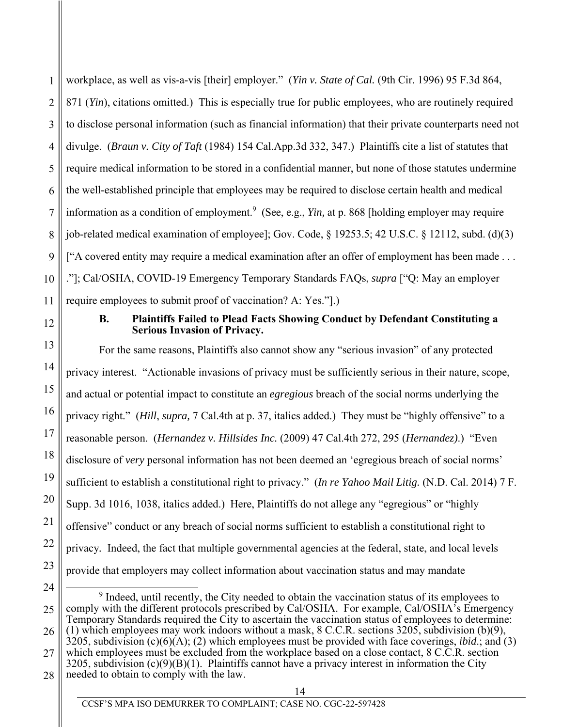1 2 3 4 5 6 7 8 9 10 11 12 13 14 workplace, as well as vis-a-vis [their] employer." (*Yin v. State of Cal.* (9th Cir. 1996) 95 F.3d 864, 871 (*Yin*), citations omitted.) This is especially true for public employees, who are routinely required to disclose personal information (such as financial information) that their private counterparts need not divulge. (*Braun v. City of Taft* (1984) 154 Cal.App.3d 332, 347.) Plaintiffs cite a list of statutes that require medical information to be stored in a confidential manner, but none of those statutes undermine the well-established principle that employees may be required to disclose certain health and medical information as a condition of employment.<sup>9</sup> (See, e.g., *Yin*, at p. 868 [holding employer may require job-related medical examination of employee]; Gov. Code, § 19253.5; 42 U.S.C. § 12112, subd. (d)(3) ["A covered entity may require a medical examination after an offer of employment has been made . . . ."]; Cal/OSHA, COVID-19 Emergency Temporary Standards FAQs, *supra* ["Q: May an employer require employees to submit proof of vaccination? A: Yes."].) **B. Plaintiffs Failed to Plead Facts Showing Conduct by Defendant Constituting a Serious Invasion of Privacy.**  For the same reasons, Plaintiffs also cannot show any "serious invasion" of any protected

privacy interest. "Actionable invasions of privacy must be sufficiently serious in their nature, scope, and actual or potential impact to constitute an *egregious* breach of the social norms underlying the privacy right." (*Hill*, *supra,* 7 Cal.4th at p. 37, italics added.) They must be "highly offensive" to a reasonable person. (*Hernandez v. Hillsides Inc.* (2009) 47 Cal.4th 272, 295 (*Hernandez)*.) "Even disclosure of *very* personal information has not been deemed an 'egregious breach of social norms' sufficient to establish a constitutional right to privacy." (*In re Yahoo Mail Litig.* (N.D. Cal. 2014) 7 F. Supp. 3d 1016, 1038, italics added.) Here, Plaintiffs do not allege any "egregious" or "highly offensive" conduct or any breach of social norms sufficient to establish a constitutional right to privacy*.* Indeed, the fact that multiple governmental agencies at the federal, state, and local levels provide that employers may collect information about vaccination status and may mandate

- 24 25 26 27  $\frac{1}{9}$  $9$  Indeed, until recently, the City needed to obtain the vaccination status of its employees to comply with the different protocols prescribed by Cal/OSHA. For example, Cal/OSHA's Emergency Temporary Standards required the City to ascertain the vaccination status of employees to determine: (1) which employees may work indoors without a mask, 8 C.C.R. sections 3205, subdivision (b)(9), 3205, subdivision (c)(6)(A); (2) which employees must be provided with face coverings, *ibid*.; and (3) which employees must be excluded from the workplace based on a close contact,  $8 \text{ C.C.R.}$  section  $3205$ , subdivision (c)(9)(B)(1). Plaintiffs cannot have a privacy interest in information the City
- 28 needed to obtain to comply with the law.

15

16

17

18

19

20

21

22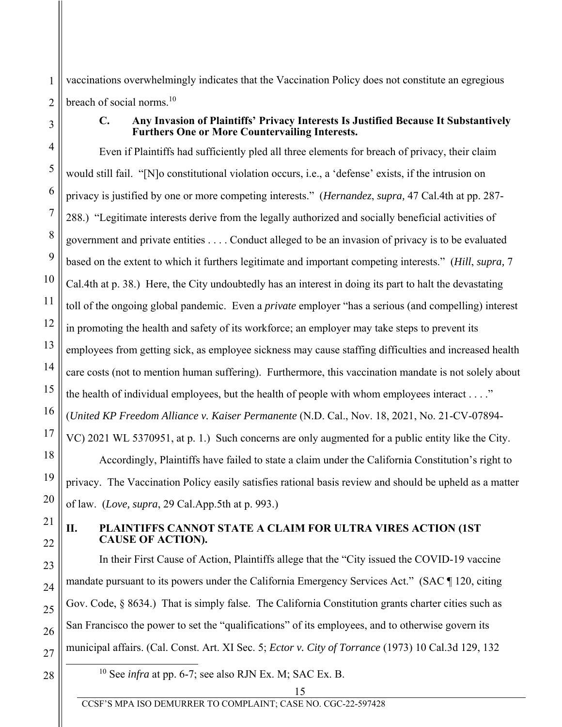vaccinations overwhelmingly indicates that the Vaccination Policy does not constitute an egregious breach of social norms.<sup>10</sup>

1

2

3

4

5

6

7

8

9

10

11

12

13

14

15

16

17

18

19

20

21

22

23

24

25

26

27

#### **C. Any Invasion of Plaintiffs' Privacy Interests Is Justified Because It Substantively Furthers One or More Countervailing Interests.**

Even if Plaintiffs had sufficiently pled all three elements for breach of privacy, their claim would still fail. "[N]o constitutional violation occurs, i.e., a 'defense' exists, if the intrusion on privacy is justified by one or more competing interests." (*Hernandez*, *supra,* 47 Cal.4th at pp. 287- 288.) "Legitimate interests derive from the legally authorized and socially beneficial activities of government and private entities . . . . Conduct alleged to be an invasion of privacy is to be evaluated based on the extent to which it furthers legitimate and important competing interests." (*Hill*, *supra,* 7 Cal.4th at p. 38.) Here, the City undoubtedly has an interest in doing its part to halt the devastating toll of the ongoing global pandemic. Even a *private* employer "has a serious (and compelling) interest in promoting the health and safety of its workforce; an employer may take steps to prevent its employees from getting sick, as employee sickness may cause staffing difficulties and increased health care costs (not to mention human suffering). Furthermore, this vaccination mandate is not solely about the health of individual employees, but the health of people with whom employees interact  $\dots$ ." (*United KP Freedom Alliance v. Kaiser Permanente* (N.D. Cal., Nov. 18, 2021, No. 21-CV-07894- VC) 2021 WL 5370951, at p. 1.) Such concerns are only augmented for a public entity like the City. Accordingly, Plaintiffs have failed to state a claim under the California Constitution's right to

privacy. The Vaccination Policy easily satisfies rational basis review and should be upheld as a matter of law. (*Love, supra*, 29 Cal.App.5th at p. 993.)

**II. PLAINTIFFS CANNOT STATE A CLAIM FOR ULTRA VIRES ACTION (1ST CAUSE OF ACTION).** 

In their First Cause of Action, Plaintiffs allege that the "City issued the COVID-19 vaccine mandate pursuant to its powers under the California Emergency Services Act." (SAC ¶ 120, citing Gov. Code, § 8634.) That is simply false. The California Constitution grants charter cities such as San Francisco the power to set the "qualifications" of its employees, and to otherwise govern its municipal affairs. (Cal. Const. Art. XI Sec. 5; *Ector v. City of Torrance* (1973) 10 Cal.3d 129, 132

# 28

10 See *infra* at pp. 6-7; see also RJN Ex. M; SAC Ex. B.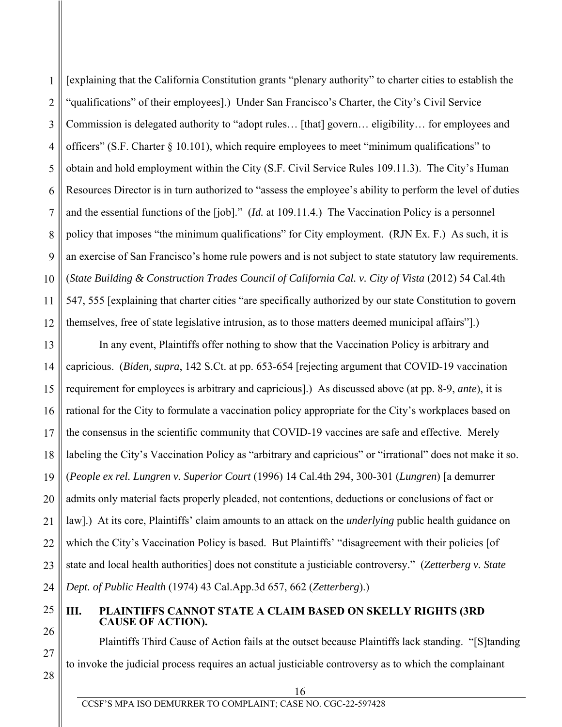1 2 3 4 5 6 7 8 9 10 11 12 [explaining that the California Constitution grants "plenary authority" to charter cities to establish the "qualifications" of their employees].) Under San Francisco's Charter, the City's Civil Service Commission is delegated authority to "adopt rules… [that] govern… eligibility… for employees and officers" (S.F. Charter § 10.101), which require employees to meet "minimum qualifications" to obtain and hold employment within the City (S.F. Civil Service Rules 109.11.3). The City's Human Resources Director is in turn authorized to "assess the employee's ability to perform the level of duties and the essential functions of the [job]." (*Id.* at 109.11.4.) The Vaccination Policy is a personnel policy that imposes "the minimum qualifications" for City employment. (RJN Ex. F.) As such, it is an exercise of San Francisco's home rule powers and is not subject to state statutory law requirements. (*State Building & Construction Trades Council of California Cal. v. City of Vista* (2012) 54 Cal.4th 547, 555 [explaining that charter cities "are specifically authorized by our state Constitution to govern themselves, free of state legislative intrusion, as to those matters deemed municipal affairs"].)

13 14 15 16 17 18 19 20 21 22 23 24 In any event, Plaintiffs offer nothing to show that the Vaccination Policy is arbitrary and capricious. (*Biden, supra*, 142 S.Ct. at pp. 653-654 [rejecting argument that COVID-19 vaccination requirement for employees is arbitrary and capricious].) As discussed above (at pp. 8-9, *ante*), it is rational for the City to formulate a vaccination policy appropriate for the City's workplaces based on the consensus in the scientific community that COVID-19 vaccines are safe and effective. Merely labeling the City's Vaccination Policy as "arbitrary and capricious" or "irrational" does not make it so. (*People ex rel. Lungren v. Superior Court* (1996) 14 Cal.4th 294, 300-301 (*Lungren*) [a demurrer admits only material facts properly pleaded, not contentions, deductions or conclusions of fact or law].) At its core, Plaintiffs' claim amounts to an attack on the *underlying* public health guidance on which the City's Vaccination Policy is based. But Plaintiffs' "disagreement with their policies [of state and local health authorities] does not constitute a justiciable controversy." (*Zetterberg v. State Dept. of Public Health* (1974) 43 Cal.App.3d 657, 662 (*Zetterberg*).)

#### 25 26 **III. PLAINTIFFS CANNOT STATE A CLAIM BASED ON SKELLY RIGHTS (3RD CAUSE OF ACTION).**

Plaintiffs Third Cause of Action fails at the outset because Plaintiffs lack standing. "[S]tanding to invoke the judicial process requires an actual justiciable controversy as to which the complainant

16

27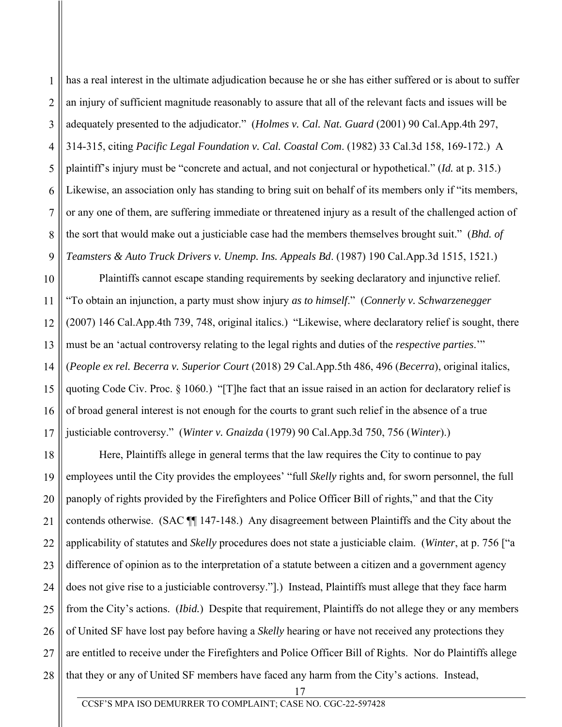has a real interest in the ultimate adjudication because he or she has either suffered or is about to suffer an injury of sufficient magnitude reasonably to assure that all of the relevant facts and issues will be adequately presented to the adjudicator." (*Holmes v. Cal. Nat. Guard* (2001) 90 Cal.App.4th 297, 314-315, citing *Pacific Legal Foundation v. Cal. Coastal Com*. (1982) 33 Cal.3d 158, 169-172.) A plaintiff's injury must be "concrete and actual, and not conjectural or hypothetical." (*Id.* at p. 315.) Likewise, an association only has standing to bring suit on behalf of its members only if "its members, or any one of them, are suffering immediate or threatened injury as a result of the challenged action of the sort that would make out a justiciable case had the members themselves brought suit." (*Bhd. of Teamsters & Auto Truck Drivers v. Unemp. Ins. Appeals Bd*. (1987) 190 Cal.App.3d 1515, 1521.)

Plaintiffs cannot escape standing requirements by seeking declaratory and injunctive relief. "To obtain an injunction, a party must show injury *as to himself*." (*Connerly v. Schwarzenegger* (2007) 146 Cal.App.4th 739, 748, original italics.) "Likewise, where declaratory relief is sought, there must be an 'actual controversy relating to the legal rights and duties of the *respective parties*.'" (*People ex rel. Becerra v. Superior Court* (2018) 29 Cal.App.5th 486, 496 (*Becerra*), original italics, quoting Code Civ. Proc. § 1060.) "[T]he fact that an issue raised in an action for declaratory relief is of broad general interest is not enough for the courts to grant such relief in the absence of a true justiciable controversy." (*Winter v. Gnaizda* (1979) 90 Cal.App.3d 750, 756 (*Winter*).)

Here, Plaintiffs allege in general terms that the law requires the City to continue to pay employees until the City provides the employees' "full *Skelly* rights and, for sworn personnel, the full panoply of rights provided by the Firefighters and Police Officer Bill of rights," and that the City contends otherwise. (SAC ¶¶ 147-148.) Any disagreement between Plaintiffs and the City about the applicability of statutes and *Skelly* procedures does not state a justiciable claim. (*Winter*, at p. 756 ["a difference of opinion as to the interpretation of a statute between a citizen and a government agency does not give rise to a justiciable controversy."].) Instead, Plaintiffs must allege that they face harm from the City's actions. (*Ibid.*) Despite that requirement, Plaintiffs do not allege they or any members of United SF have lost pay before having a *Skelly* hearing or have not received any protections they are entitled to receive under the Firefighters and Police Officer Bill of Rights. Nor do Plaintiffs allege that they or any of United SF members have faced any harm from the City's actions. Instead,

1

2

3

4

5

6

7

8

9

10

 17 CCSF'S MPA ISO DEMURRER TO COMPLAINT; CASE NO. CGC-22-597428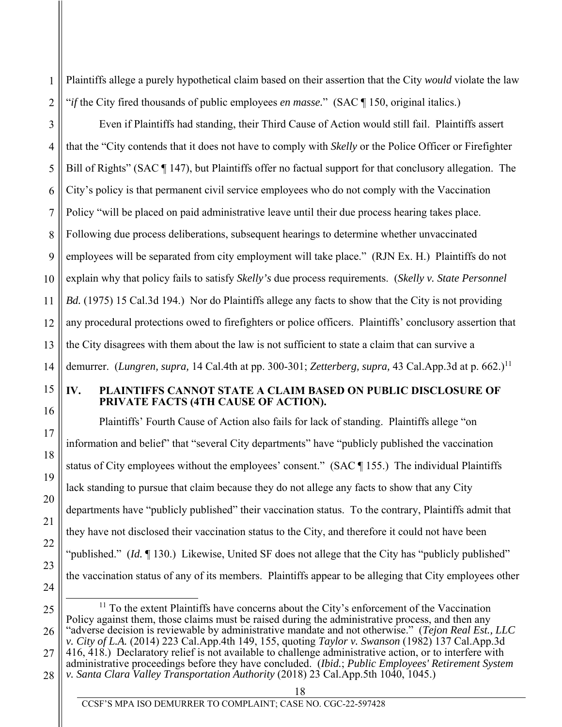Plaintiffs allege a purely hypothetical claim based on their assertion that the City *would* violate the law "*if* the City fired thousands of public employees *en masse.*" (SAC ¶ 150, original italics.)

3 4 5 6 7 8 9 10 11 12 13 14 Even if Plaintiffs had standing, their Third Cause of Action would still fail. Plaintiffs assert that the "City contends that it does not have to comply with *Skelly* or the Police Officer or Firefighter Bill of Rights" (SAC ¶ 147), but Plaintiffs offer no factual support for that conclusory allegation. The City's policy is that permanent civil service employees who do not comply with the Vaccination Policy "will be placed on paid administrative leave until their due process hearing takes place. Following due process deliberations, subsequent hearings to determine whether unvaccinated employees will be separated from city employment will take place." (RJN Ex. H.) Plaintiffs do not explain why that policy fails to satisfy *Skelly's* due process requirements. (*Skelly v. State Personnel Bd.* (1975) 15 Cal.3d 194.) Nor do Plaintiffs allege any facts to show that the City is not providing any procedural protections owed to firefighters or police officers. Plaintiffs' conclusory assertion that the City disagrees with them about the law is not sufficient to state a claim that can survive a demurrer. (*Lungren, supra,* 14 Cal.4th at pp. 300-301; *Zetterberg, supra,* 43 Cal.App.3d at p. 662.)11

15 16

17

18

19

20

21

22

23

24

1

2

## **IV. PLAINTIFFS CANNOT STATE A CLAIM BASED ON PUBLIC DISCLOSURE OF PRIVATE FACTS (4TH CAUSE OF ACTION).**

Plaintiffs' Fourth Cause of Action also fails for lack of standing. Plaintiffs allege "on information and belief" that "several City departments" have "publicly published the vaccination status of City employees without the employees' consent." (SAC ¶ 155.) The individual Plaintiffs lack standing to pursue that claim because they do not allege any facts to show that any City departments have "publicly published" their vaccination status. To the contrary, Plaintiffs admit that they have not disclosed their vaccination status to the City, and therefore it could not have been "published." (*Id.* ¶ 130.) Likewise, United SF does not allege that the City has "publicly published" the vaccination status of any of its members. Plaintiffs appear to be alleging that City employees other

<sup>25</sup>  26  $11$  To the extent Plaintiffs have concerns about the City's enforcement of the Vaccination Policy against them, those claims must be raised during the administrative process, and then any "adverse decision is reviewable by administrative mandate and not otherwise." (*Tejon Real Est., LLC v. City of L.A.* (2014) 223 Cal.App.4th 149, 155, quoting *Taylor v. Swanson* (1982) 137 Cal.App.3d 416, 418.) Declaratory relief is not available to challenge administrative action, or to interfere with

<sup>27</sup>  28 administrative proceedings before they have concluded. (*Ibid.*; *Public Employees' Retirement System* 

*v. Santa Clara Valley Transportation Authority* (2018) 23 Cal.App.5th 1040, 1045.)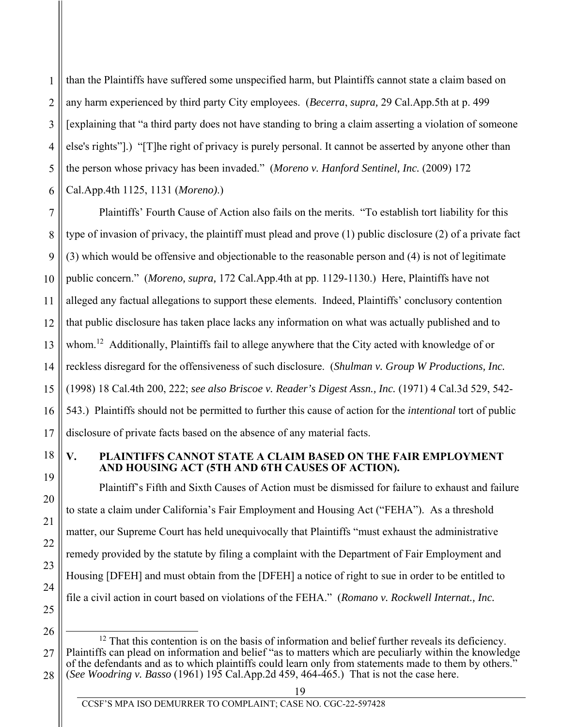1 2 3 4 5 6 than the Plaintiffs have suffered some unspecified harm, but Plaintiffs cannot state a claim based on any harm experienced by third party City employees. (*Becerra*, *supra,* 29 Cal.App.5th at p. 499 [explaining that "a third party does not have standing to bring a claim asserting a violation of someone else's rights"].) "[T]he right of privacy is purely personal. It cannot be asserted by anyone other than the person whose privacy has been invaded." (*Moreno v. Hanford Sentinel, Inc.* (2009) 172 Cal.App.4th 1125, 1131 (*Moreno)*.)

7 8 9 10 11 12 13 14 15 16 17 Plaintiffs' Fourth Cause of Action also fails on the merits. "To establish tort liability for this type of invasion of privacy, the plaintiff must plead and prove (1) public disclosure (2) of a private fact (3) which would be offensive and objectionable to the reasonable person and (4) is not of legitimate public concern." (*Moreno, supra,* 172 Cal.App.4th at pp. 1129-1130.) Here, Plaintiffs have not alleged any factual allegations to support these elements. Indeed, Plaintiffs' conclusory contention that public disclosure has taken place lacks any information on what was actually published and to whom.<sup>12</sup> Additionally, Plaintiffs fail to allege anywhere that the City acted with knowledge of or reckless disregard for the offensiveness of such disclosure. (*Shulman v. Group W Productions, Inc.* (1998) 18 Cal.4th 200, 222; *see also Briscoe v. Reader's Digest Assn., Inc.* (1971) 4 Cal.3d 529, 542- 543.) Plaintiffs should not be permitted to further this cause of action for the *intentional* tort of public disclosure of private facts based on the absence of any material facts.

18 19

20

21

22

23

24

25

#### **V. PLAINTIFFS CANNOT STATE A CLAIM BASED ON THE FAIR EMPLOYMENT AND HOUSING ACT (5TH AND 6TH CAUSES OF ACTION).**

Plaintiff's Fifth and Sixth Causes of Action must be dismissed for failure to exhaust and failure to state a claim under California's Fair Employment and Housing Act ("FEHA"). As a threshold matter, our Supreme Court has held unequivocally that Plaintiffs "must exhaust the administrative remedy provided by the statute by filing a complaint with the Department of Fair Employment and Housing [DFEH] and must obtain from the [DFEH] a notice of right to sue in order to be entitled to file a civil action in court based on violations of the FEHA." (*Romano v. Rockwell Internat., Inc.*

<sup>27</sup>  28  $12$  That this contention is on the basis of information and belief further reveals its deficiency. Plaintiffs can plead on information and belief "as to matters which are peculiarly within the knowledge of the defendants and as to which plaintiffs could learn only from statements made to them by others." (*See Woodring v. Basso* (1961) 195 Cal.App.2d 459, 464-465.) That is not the case here.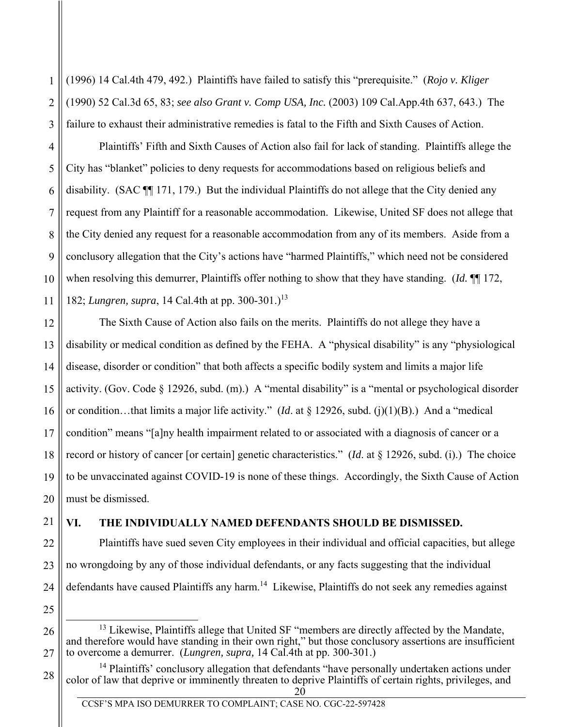(1996) 14 Cal.4th 479, 492.) Plaintiffs have failed to satisfy this "prerequisite." (*Rojo v. Kliger* (1990) 52 Cal.3d 65, 83; *see also Grant v. Comp USA, Inc.* (2003) 109 Cal.App.4th 637, 643.) The failure to exhaust their administrative remedies is fatal to the Fifth and Sixth Causes of Action.

Plaintiffs' Fifth and Sixth Causes of Action also fail for lack of standing. Plaintiffs allege the City has "blanket" policies to deny requests for accommodations based on religious beliefs and disability. (SAC ¶¶ 171, 179.) But the individual Plaintiffs do not allege that the City denied any request from any Plaintiff for a reasonable accommodation. Likewise, United SF does not allege that the City denied any request for a reasonable accommodation from any of its members. Aside from a conclusory allegation that the City's actions have "harmed Plaintiffs," which need not be considered when resolving this demurrer, Plaintiffs offer nothing to show that they have standing. (*Id.* ¶¶ 172, 182; *Lungren, supra*, 14 Cal.4th at pp. 300-301.)<sup>13</sup>

12 13 14 15 16 18 19 20 The Sixth Cause of Action also fails on the merits. Plaintiffs do not allege they have a disability or medical condition as defined by the FEHA. A "physical disability" is any "physiological disease, disorder or condition" that both affects a specific bodily system and limits a major life activity. (Gov. Code § 12926, subd. (m).) A "mental disability" is a "mental or psychological disorder or condition…that limits a major life activity." (*Id*. at § 12926, subd. (j)(1)(B).) And a "medical condition" means "[a]ny health impairment related to or associated with a diagnosis of cancer or a record or history of cancer [or certain] genetic characteristics." (*Id*. at § 12926, subd. (i).) The choice to be unvaccinated against COVID-19 is none of these things. Accordingly, the Sixth Cause of Action must be dismissed.

21 22

23

24

25

26

27

28

17

1

2

3

4

5

6

7

8

9

10

11

# **VI. THE INDIVIDUALLY NAMED DEFENDANTS SHOULD BE DISMISSED.**

Plaintiffs have sued seven City employees in their individual and official capacities, but allege no wrongdoing by any of those individual defendants, or any facts suggesting that the individual defendants have caused Plaintiffs any harm.<sup>14</sup> Likewise, Plaintiffs do not seek any remedies against

- <sup>13</sup> Likewise, Plaintiffs allege that United SF "members are directly affected by the Mandate, and therefore would have standing in their own right," but those conclusory assertions are insufficient to overcome a demurrer. (*Lungren, supra,* 14 Cal.4th at pp. 300-301.)
- 20  $<sup>14</sup>$  Plaintiffs' conclusory allegation that defendants "have personally undertaken actions under</sup> color of law that deprive or imminently threaten to deprive Plaintiffs of certain rights, privileges, and